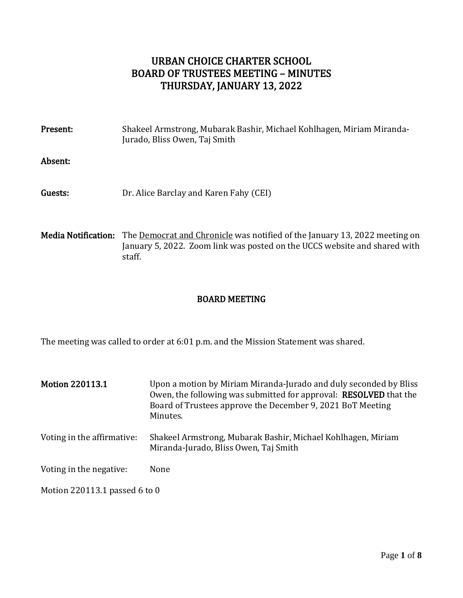# URBAN CHOICE CHARTER SCHOOL BOARD OF TRUSTEES MEETING – MINUTES THURSDAY, JANUARY 13, 2022

| Present: | Shakeel Armstrong, Mubarak Bashir, Michael Kohlhagen, Miriam Miranda-<br>Jurado, Bliss Owen, Taj Smith |
|----------|--------------------------------------------------------------------------------------------------------|
| Absent:  |                                                                                                        |
| Guests:  | Dr. Alice Barclay and Karen Fahy (CEI)                                                                 |
|          |                                                                                                        |

Media Notification: The Democrat and Chronicle was notified of the January 13, 2022 meeting on January 5, 2022. Zoom link was posted on the UCCS website and shared with staff.

# BOARD MEETING

The meeting was called to order at 6:01 p.m. and the Mission Statement was shared.

| <b>Motion 220113.1</b>        | Upon a motion by Miriam Miranda-Jurado and duly seconded by Bliss<br>Owen, the following was submitted for approval: RESOLVED that the<br>Board of Trustees approve the December 9, 2021 BoT Meeting<br>Minutes. |
|-------------------------------|------------------------------------------------------------------------------------------------------------------------------------------------------------------------------------------------------------------|
| Voting in the affirmative:    | Shakeel Armstrong, Mubarak Bashir, Michael Kohlhagen, Miriam<br>Miranda-Jurado, Bliss Owen, Taj Smith                                                                                                            |
| Voting in the negative:       | None                                                                                                                                                                                                             |
| Motion 220113.1 passed 6 to 0 |                                                                                                                                                                                                                  |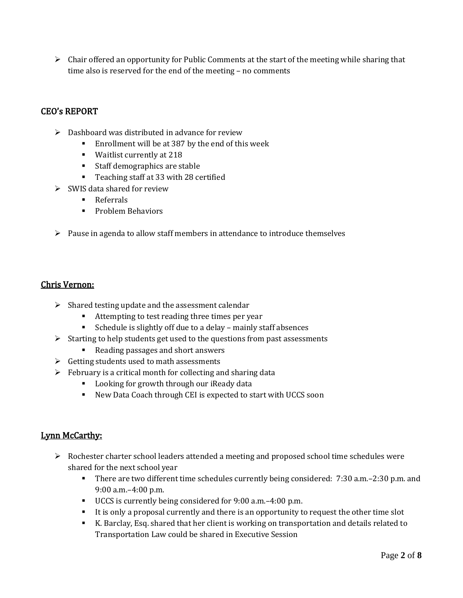$\triangleright$  Chair offered an opportunity for Public Comments at the start of the meeting while sharing that time also is reserved for the end of the meeting – no comments

# CEO's REPORT

- $\triangleright$  Dashboard was distributed in advance for review
	- Enrollment will be at 387 by the end of this week
	- Waitlist currently at 218
	- Staff demographics are stable
	- Teaching staff at 33 with 28 certified
- $\triangleright$  SWIS data shared for review
	- Referrals
	- Problem Behaviors
- $\triangleright$  Pause in agenda to allow staff members in attendance to introduce themselves

### Chris Vernon:

- $\triangleright$  Shared testing update and the assessment calendar
	- Attempting to test reading three times per year
	- Schedule is slightly off due to a delay mainly staff absences
- ➢ Starting to help students get used to the questions from past assessments
	- Reading passages and short answers
- $\triangleright$  Getting students used to math assessments
- $\triangleright$  February is a critical month for collecting and sharing data
	- Looking for growth through our iReady data
	- New Data Coach through CEI is expected to start with UCCS soon

## Lynn McCarthy:

- $\triangleright$  Rochester charter school leaders attended a meeting and proposed school time schedules were shared for the next school year
	- There are two different time schedules currently being considered: 7:30 a.m.–2:30 p.m. and 9:00 a.m.–4:00 p.m.
	- UCCS is currently being considered for 9:00 a.m.–4:00 p.m.
	- It is only a proposal currently and there is an opportunity to request the other time slot
	- K. Barclay, Esq. shared that her client is working on transportation and details related to Transportation Law could be shared in Executive Session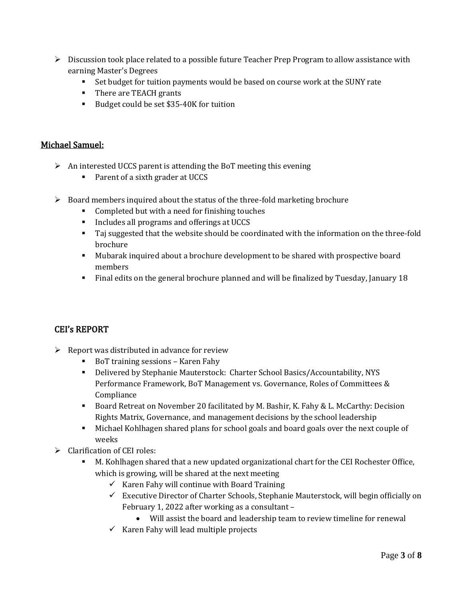- $\triangleright$  Discussion took place related to a possible future Teacher Prep Program to allow assistance with earning Master's Degrees
	- Set budget for tuition payments would be based on course work at the SUNY rate
	- There are TEACH grants
	- Budget could be set \$35-40K for tuition

### Michael Samuel:

- $\triangleright$  An interested UCCS parent is attending the BoT meeting this evening
	- Parent of a sixth grader at UCCS
- $\triangleright$  Board members inquired about the status of the three-fold marketing brochure
	- Completed but with a need for finishing touches
	- Includes all programs and offerings at UCCS
	- Taj suggested that the website should be coordinated with the information on the three-fold brochure
	- Mubarak inquired about a brochure development to be shared with prospective board members
	- Final edits on the general brochure planned and will be finalized by Tuesday, January 18

## CEI's REPORT

- $\triangleright$  Report was distributed in advance for review
	- BoT training sessions Karen Fahy
	- Delivered by Stephanie Mauterstock: Charter School Basics/Accountability, NYS Performance Framework, BoT Management vs. Governance, Roles of Committees & Compliance
	- Board Retreat on November 20 facilitated by M. Bashir, K. Fahy & L. McCarthy: Decision Rights Matrix, Governance, and management decisions by the school leadership
	- Michael Kohlhagen shared plans for school goals and board goals over the next couple of weeks
- ➢ Clarification of CEI roles:
	- M. Kohlhagen shared that a new updated organizational chart for the CEI Rochester Office, which is growing, will be shared at the next meeting
		- $\checkmark$  Karen Fahy will continue with Board Training
		- $\checkmark$  Executive Director of Charter Schools, Stephanie Mauterstock, will begin officially on February 1, 2022 after working as a consultant –
			- Will assist the board and leadership team to review timeline for renewal
		- $\checkmark$  Karen Fahy will lead multiple projects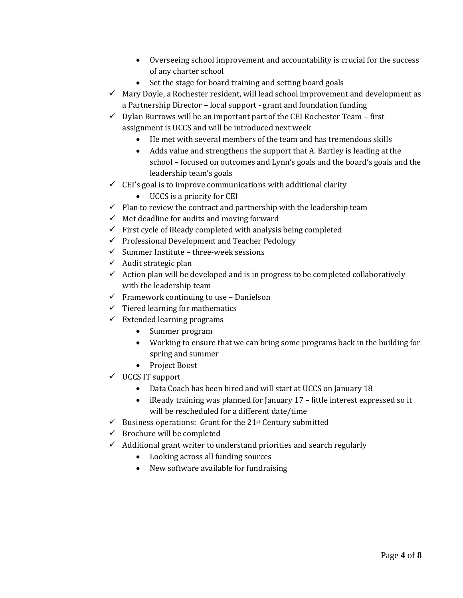- Overseeing school improvement and accountability is crucial for the success of any charter school
- Set the stage for board training and setting board goals
- $\checkmark$  Mary Doyle, a Rochester resident, will lead school improvement and development as a Partnership Director – local support - grant and foundation funding
- $\checkmark$  Dylan Burrows will be an important part of the CEI Rochester Team first assignment is UCCS and will be introduced next week
	- He met with several members of the team and has tremendous skills
	- Adds value and strengthens the support that A. Bartley is leading at the school – focused on outcomes and Lynn's goals and the board's goals and the leadership team's goals
- $\checkmark$  CEI's goal is to improve communications with additional clarity
	- UCCS is a priority for CEI
- $\checkmark$  Plan to review the contract and partnership with the leadership team
- $\checkmark$  Met deadline for audits and moving forward
- $\checkmark$  First cycle of iReady completed with analysis being completed
- ✓ Professional Development and Teacher Pedology
- $\checkmark$  Summer Institute three-week sessions
- $\checkmark$  Audit strategic plan
- $\checkmark$  Action plan will be developed and is in progress to be completed collaboratively with the leadership team
- $\checkmark$  Framework continuing to use Danielson
- $\checkmark$  Tiered learning for mathematics
- $\checkmark$  Extended learning programs
	- Summer program
	- Working to ensure that we can bring some programs back in the building for spring and summer
	- Project Boost
- ✓ UCCS IT support
	- Data Coach has been hired and will start at UCCS on January 18
	- iReady training was planned for January 17 little interest expressed so it will be rescheduled for a different date/time
- $\checkmark$  Business operations: Grant for the 21<sup>st</sup> Century submitted
- $\checkmark$  Brochure will be completed
- ✓ Additional grant writer to understand priorities and search regularly
	- Looking across all funding sources
	- New software available for fundraising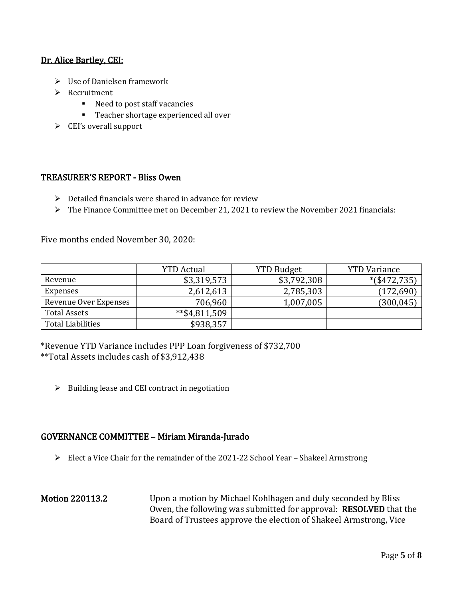### Dr. Alice Bartley, CEI:

- ➢ Use of Danielsen framework
- ➢ Recruitment
	- Need to post staff vacancies
	- Teacher shortage experienced all over
- ➢ CEI's overall support

#### TREASURER'S REPORT - Bliss Owen

- $\triangleright$  Detailed financials were shared in advance for review
- $\triangleright$  The Finance Committee met on December 21, 2021 to review the November 2021 financials:

Five months ended November 30, 2020:

|                          | <b>YTD Actual</b> | <b>YTD Budget</b> | <b>YTD</b> Variance |
|--------------------------|-------------------|-------------------|---------------------|
| Revenue                  | \$3,319,573       | \$3,792,308       | $*(\$472,735)$      |
| Expenses                 | 2,612,613         | 2,785,303         | (172, 690)          |
| Revenue Over Expenses    | 706,960           | 1,007,005         | (300, 045)          |
| <b>Total Assets</b>      | $*$ \$4,811,509   |                   |                     |
| <b>Total Liabilities</b> | \$938,357         |                   |                     |

\*Revenue YTD Variance includes PPP Loan forgiveness of \$732,700 \*\*Total Assets includes cash of \$3,912,438

 $\triangleright$  Building lease and CEI contract in negotiation

#### GOVERNANCE COMMITTEE – Miriam Miranda-Jurado

- $\triangleright$  Elect a Vice Chair for the remainder of the 2021-22 School Year Shakeel Armstrong
- Motion 220113.2 Upon a motion by Michael Kohlhagen and duly seconded by Bliss Owen, the following was submitted for approval: RESOLVED that the Board of Trustees approve the election of Shakeel Armstrong, Vice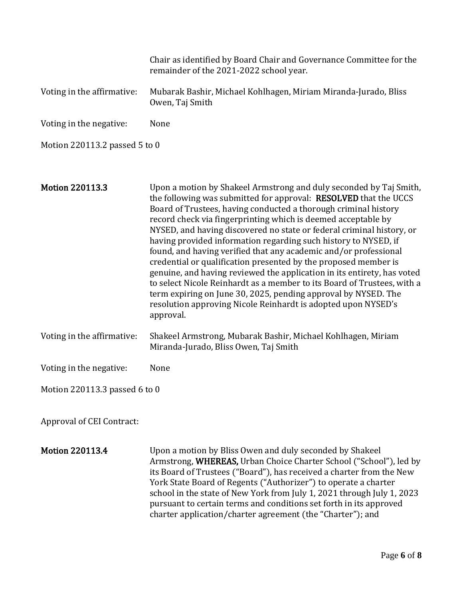|                               | Chair as identified by Board Chair and Governance Committee for the<br>remainder of the 2021-2022 school year.                                                                                                                                                                                                                                                                                                                                                                                                                                                                                                                                                                                                                                                                                                                                                      |
|-------------------------------|---------------------------------------------------------------------------------------------------------------------------------------------------------------------------------------------------------------------------------------------------------------------------------------------------------------------------------------------------------------------------------------------------------------------------------------------------------------------------------------------------------------------------------------------------------------------------------------------------------------------------------------------------------------------------------------------------------------------------------------------------------------------------------------------------------------------------------------------------------------------|
| Voting in the affirmative:    | Mubarak Bashir, Michael Kohlhagen, Miriam Miranda-Jurado, Bliss<br>Owen, Taj Smith                                                                                                                                                                                                                                                                                                                                                                                                                                                                                                                                                                                                                                                                                                                                                                                  |
| Voting in the negative:       | None                                                                                                                                                                                                                                                                                                                                                                                                                                                                                                                                                                                                                                                                                                                                                                                                                                                                |
| Motion 220113.2 passed 5 to 0 |                                                                                                                                                                                                                                                                                                                                                                                                                                                                                                                                                                                                                                                                                                                                                                                                                                                                     |
|                               |                                                                                                                                                                                                                                                                                                                                                                                                                                                                                                                                                                                                                                                                                                                                                                                                                                                                     |
| <b>Motion 220113.3</b>        | Upon a motion by Shakeel Armstrong and duly seconded by Taj Smith,<br>the following was submitted for approval: RESOLVED that the UCCS<br>Board of Trustees, having conducted a thorough criminal history<br>record check via fingerprinting which is deemed acceptable by<br>NYSED, and having discovered no state or federal criminal history, or<br>having provided information regarding such history to NYSED, if<br>found, and having verified that any academic and/or professional<br>credential or qualification presented by the proposed member is<br>genuine, and having reviewed the application in its entirety, has voted<br>to select Nicole Reinhardt as a member to its Board of Trustees, with a<br>term expiring on June 30, 2025, pending approval by NYSED. The<br>resolution approving Nicole Reinhardt is adopted upon NYSED's<br>approval. |
| Voting in the affirmative:    | Shakeel Armstrong, Mubarak Bashir, Michael Kohlhagen, Miriam<br>Miranda-Jurado, Bliss Owen, Taj Smith                                                                                                                                                                                                                                                                                                                                                                                                                                                                                                                                                                                                                                                                                                                                                               |
| Voting in the negative:       | None                                                                                                                                                                                                                                                                                                                                                                                                                                                                                                                                                                                                                                                                                                                                                                                                                                                                |
| Motion 220113.3 passed 6 to 0 |                                                                                                                                                                                                                                                                                                                                                                                                                                                                                                                                                                                                                                                                                                                                                                                                                                                                     |
| Approval of CEI Contract:     |                                                                                                                                                                                                                                                                                                                                                                                                                                                                                                                                                                                                                                                                                                                                                                                                                                                                     |
| <b>Motion 220113.4</b>        | Upon a motion by Bliss Owen and duly seconded by Shakeel<br>Armstrong, WHEREAS, Urban Choice Charter School ("School"), led by<br>its Board of Trustees ("Board"), has received a charter from the New                                                                                                                                                                                                                                                                                                                                                                                                                                                                                                                                                                                                                                                              |

York State Board of Regents ("Authorizer") to operate a charter school in the state of New York from July 1, 2021 through July 1, 2023 pursuant to certain terms and conditions set forth in its approved charter application/charter agreement (the "Charter"); and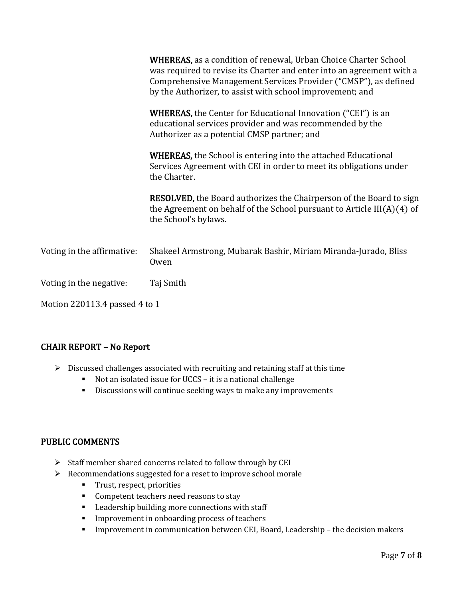|                               | <b>WHEREAS</b> , as a condition of renewal, Urban Choice Charter School<br>was required to revise its Charter and enter into an agreement with a<br>Comprehensive Management Services Provider ("CMSP"), as defined<br>by the Authorizer, to assist with school improvement; and |  |
|-------------------------------|----------------------------------------------------------------------------------------------------------------------------------------------------------------------------------------------------------------------------------------------------------------------------------|--|
|                               | <b>WHEREAS</b> , the Center for Educational Innovation ("CEI") is an<br>educational services provider and was recommended by the<br>Authorizer as a potential CMSP partner; and                                                                                                  |  |
|                               | <b>WHEREAS</b> , the School is entering into the attached Educational<br>Services Agreement with CEI in order to meet its obligations under<br>the Charter.                                                                                                                      |  |
|                               | RESOLVED, the Board authorizes the Chairperson of the Board to sign<br>the Agreement on behalf of the School pursuant to Article $III(A)(4)$ of<br>the School's bylaws.                                                                                                          |  |
| Voting in the affirmative:    | Shakeel Armstrong, Mubarak Bashir, Miriam Miranda-Jurado, Bliss<br>Owen                                                                                                                                                                                                          |  |
| Voting in the negative:       | Taj Smith                                                                                                                                                                                                                                                                        |  |
| Motion 220113.4 passed 4 to 1 |                                                                                                                                                                                                                                                                                  |  |

# CHAIR REPORT – No Report

- ➢ Discussed challenges associated with recruiting and retaining staff at this time
	- Not an isolated issue for UCCS it is a national challenge
	- **EXECUS IS CONTER** Discussions will continue seeking ways to make any improvements

#### PUBLIC COMMENTS

- ➢ Staff member shared concerns related to follow through by CEI
- ➢ Recommendations suggested for a reset to improve school morale
	- Trust, respect, priorities
	- Competent teachers need reasons to stay
	- Leadership building more connections with staff
	- **·** Improvement in onboarding process of teachers
	- Improvement in communication between CEI, Board, Leadership the decision makers